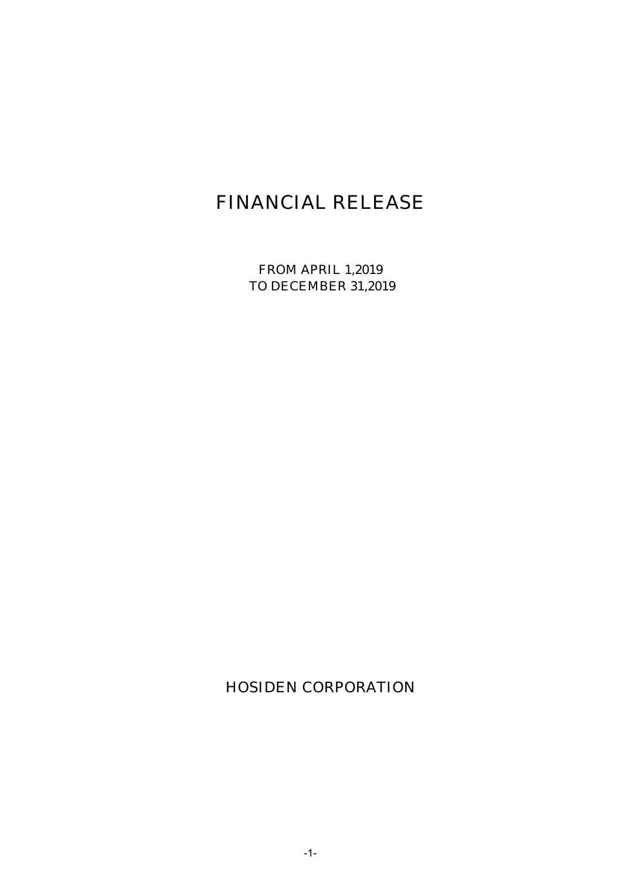# FINANCIAL RELEASE

FROM APRIL 1,2019 TO DECEMBER 31,2019

HOSIDEN CORPORATION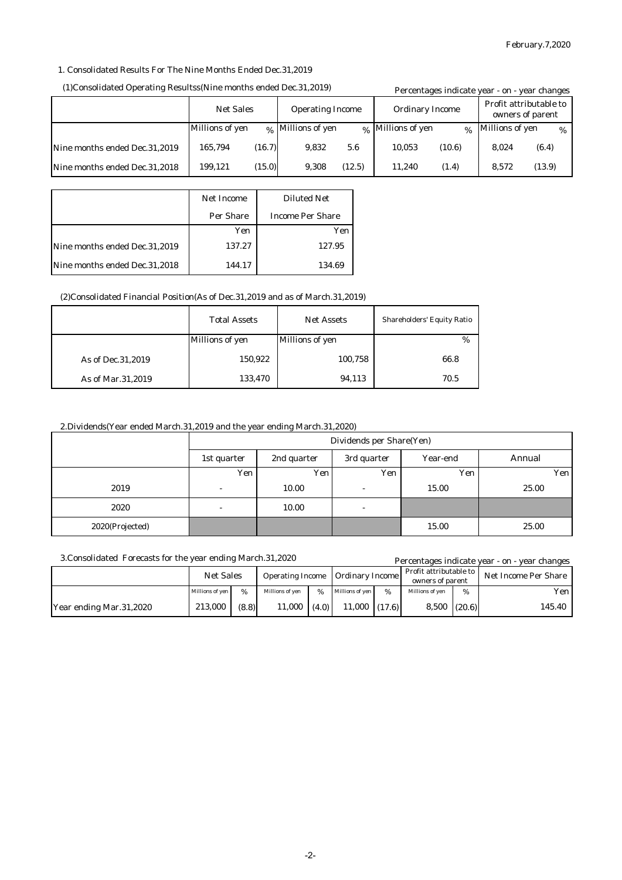### 1. Consolidated Results For The Nine Months Ended Dec.31,2019

#### (1)Consolidated Operating Resultss(Nine months ended Dec.31,2019)

|                               | (1)Consolidated Operating Resultss(Nine months ended Dec.31,2019) |        |                              |        | Percentages indicate year - on - year changes |          |                 |        |
|-------------------------------|-------------------------------------------------------------------|--------|------------------------------|--------|-----------------------------------------------|----------|-----------------|--------|
|                               | <b>Net Sales</b><br><b>Operating Income</b>                       |        | <b>Ordinary Income</b>       |        | Profit attributable to<br>owners of parent    |          |                 |        |
|                               | Millions of yen                                                   |        | <sub>%</sub> Millions of yen |        | % Millions of yen                             | $\alpha$ | Millions of yen | $\%$   |
| Nine months ended Dec.31,2019 | 165.794                                                           | (16.7) | 9.832                        | 5.6    | 10.053                                        | (10.6)   | 8.024           | (6.4)  |
| Nine months ended Dec.31,2018 | 199.121                                                           | (15.0) | 9.308                        | (12.5) | 11.240                                        | (1.4)    | 8.572           | (13.9) |

|                               | <b>Net Income</b> | <b>Diluted Net</b>      |
|-------------------------------|-------------------|-------------------------|
|                               | Per Share         | <b>Income Per Share</b> |
|                               | Yen               | Yen                     |
| Nine months ended Dec.31,2019 | 137.27            | 127.95                  |
| Nine months ended Dec.31,2018 | 144.17            | 134.69                  |

#### (2)Consolidated Financial Position(As of Dec.31,2019 and as of March.31,2019)

|                     | <b>Total Assets</b>    | <b>Net Assets</b>      | <b>Shareholders' Equity Ratio</b> |
|---------------------|------------------------|------------------------|-----------------------------------|
|                     | <b>Millions of yen</b> | <b>Millions of yen</b> | $\%$                              |
| As of Dec. 31, 2019 | 150,922                | 100,758                | 66.8                              |
| As of Mar.31,2019   | 133,470                | 94,113                 | 70.5                              |

## 2.Dividends(Year ended March.31,2019 and the year ending March.31,2020)

|                 | Dividends per Share(Yen) |             |                          |          |        |  |
|-----------------|--------------------------|-------------|--------------------------|----------|--------|--|
|                 | 1st quarter              | 2nd quarter | 3rd quarter              | Year-end | Annual |  |
|                 | Yen                      | Yen         | Yen                      | Yen      | Yen    |  |
| 2019            | $\overline{\phantom{a}}$ | 10.00       | $\overline{\phantom{a}}$ | 15.00    | 25.00  |  |
| 2020            | $\overline{\phantom{a}}$ | 10.00       | $\overline{\phantom{a}}$ |          |        |  |
| 2020(Projected) |                          |             |                          | 15.00    | 25.00  |  |

|                         | 3. Consolidated Forecasts for the year ending March. 31, 2020 |       |                 |       |                                         |        |                                            |   | Percentages indicate year - on - year changes |
|-------------------------|---------------------------------------------------------------|-------|-----------------|-------|-----------------------------------------|--------|--------------------------------------------|---|-----------------------------------------------|
|                         | <b>Net Sales</b>                                              |       |                 |       | <b>Operating Income Ordinary Income</b> |        | Profit attributable to<br>owners of parent |   | <b>Net Income Per Share</b>                   |
|                         | Millions of yen                                               | %     | Millions of ven | $\%$  | Millions of yen                         | %      | Millions of yen                            | % | Yen l                                         |
| Year ending Mar.31,2020 | 213.000                                                       | (8.8) | 11,000          | (4.0) | 11.000                                  | (17.6) | $8,500$ (20.6)                             |   | 145.40                                        |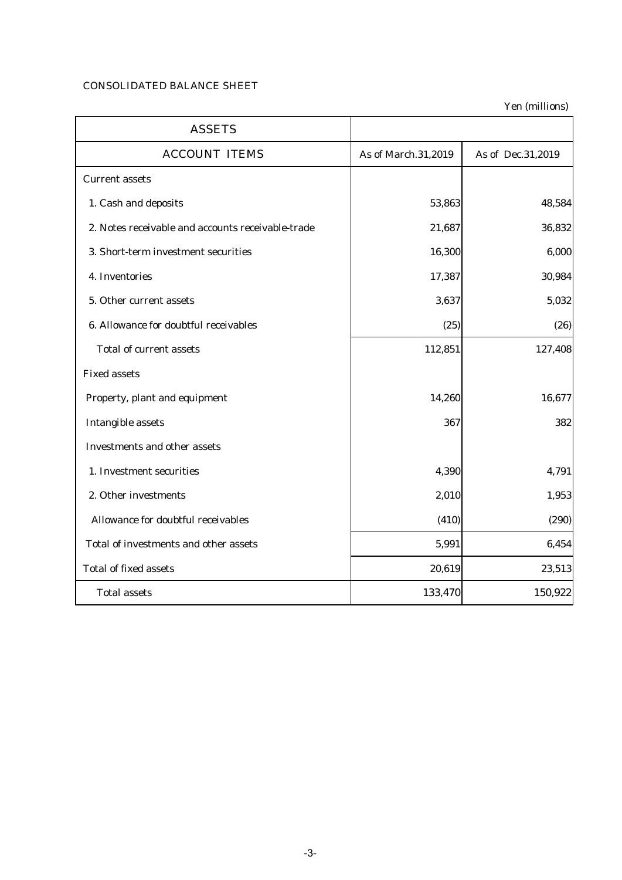## CONSOLIDATED BALANCE SHEET

Yen (millions)

| <b>ASSETS</b>                                     |                     |                   |
|---------------------------------------------------|---------------------|-------------------|
| <b>ACCOUNT ITEMS</b>                              | As of March.31,2019 | As of Dec.31,2019 |
| <b>Current assets</b>                             |                     |                   |
| 1. Cash and deposits                              | 53,863              | 48,584            |
| 2. Notes receivable and accounts receivable-trade | 21,687              | 36,832            |
| 3. Short-term investment securities               | 16,300              | 6,000             |
| 4. Inventories                                    | 17,387              | 30,984            |
| 5. Other current assets                           | 3,637               | 5,032             |
| 6. Allowance for doubtful receivables             | (25)                | (26)              |
| <b>Total of current assets</b>                    | 112,851             | 127,408           |
| <b>Fixed assets</b>                               |                     |                   |
| Property, plant and equipment                     | 14,260              | 16,677            |
| <b>Intangible assets</b>                          | 367                 | 382               |
| <b>Investments and other assets</b>               |                     |                   |
| 1. Investment securities                          | 4,390               | 4,791             |
| 2. Other investments                              | 2,010               | 1,953             |
| Allowance for doubtful receivables                | (410)               | (290)             |
| Total of investments and other assets             | 5,991               | 6,454             |
| <b>Total of fixed assets</b>                      | 20,619              | 23,513            |
| <b>Total assets</b>                               | 133,470             | 150,922           |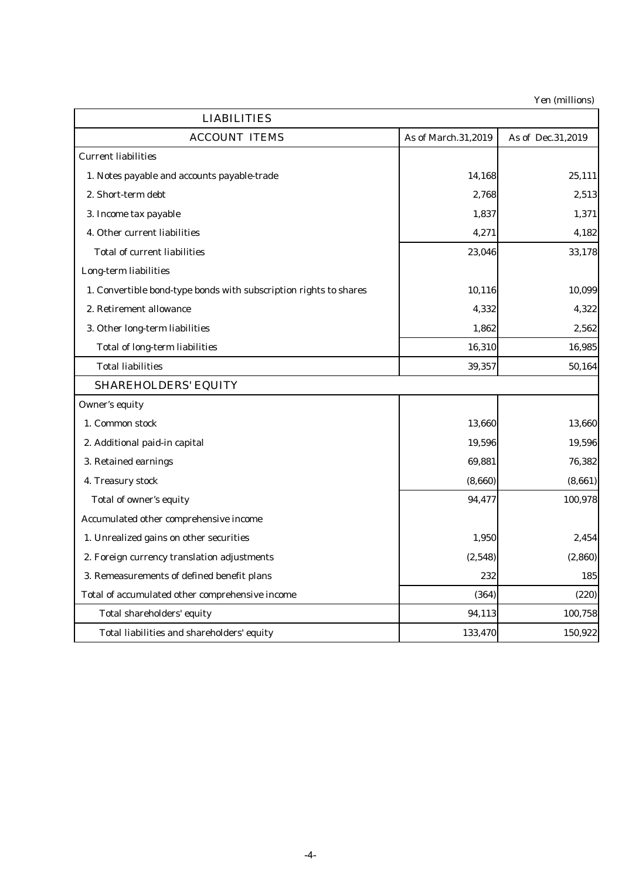Yen (millions)

| <b>LIABILITIES</b>                                                |                     |                   |  |  |
|-------------------------------------------------------------------|---------------------|-------------------|--|--|
| <b>ACCOUNT ITEMS</b>                                              | As of March.31,2019 | As of Dec.31,2019 |  |  |
| <b>Current liabilities</b>                                        |                     |                   |  |  |
| 1. Notes payable and accounts payable-trade                       | 14,168              | 25,111            |  |  |
| 2. Short-term debt                                                | 2,768               | 2,513             |  |  |
| 3. Income tax payable                                             | 1,837               | 1,371             |  |  |
| 4. Other current liabilities                                      | 4,271               | 4,182             |  |  |
| <b>Total of current liabilities</b>                               | 23,046              | 33,178            |  |  |
| Long-term liabilities                                             |                     |                   |  |  |
| 1. Convertible bond-type bonds with subscription rights to shares | 10,116              | 10,099            |  |  |
| 2. Retirement allowance                                           | 4,332               | 4,322             |  |  |
| 3. Other long-term liabilities                                    | 1,862               | 2,562             |  |  |
| <b>Total of long-term liabilities</b>                             | 16,310              | 16,985            |  |  |
| <b>Total liabilities</b>                                          | 39,357              | 50,164            |  |  |
| <b>SHAREHOLDERS' EQUITY</b>                                       |                     |                   |  |  |
| <b>Owner's equity</b>                                             |                     |                   |  |  |
| 1. Common stock                                                   | 13,660              | 13,660            |  |  |
| 2. Additional paid-in capital                                     | 19,596              | 19,596            |  |  |
| 3. Retained earnings                                              | 69,881              | 76,382            |  |  |
| 4. Treasury stock                                                 | (8,660)             | (8,661)           |  |  |
| Total of owner's equity                                           | 94,477              | 100,978           |  |  |
| Accumulated other comprehensive income                            |                     |                   |  |  |
| 1. Unrealized gains on other securities                           | 1,950               | 2,454             |  |  |
| 2. Foreign currency translation adjustments                       | (2,548)             | (2, 860)          |  |  |
| 3. Remeasurements of defined benefit plans                        | 232                 | 185               |  |  |
| Total of accumulated other comprehensive income                   | (364)               | (220)             |  |  |
| Total shareholders' equity                                        | 94,113              | 100,758           |  |  |
| Total liabilities and shareholders' equity                        | 133,470             | 150,922           |  |  |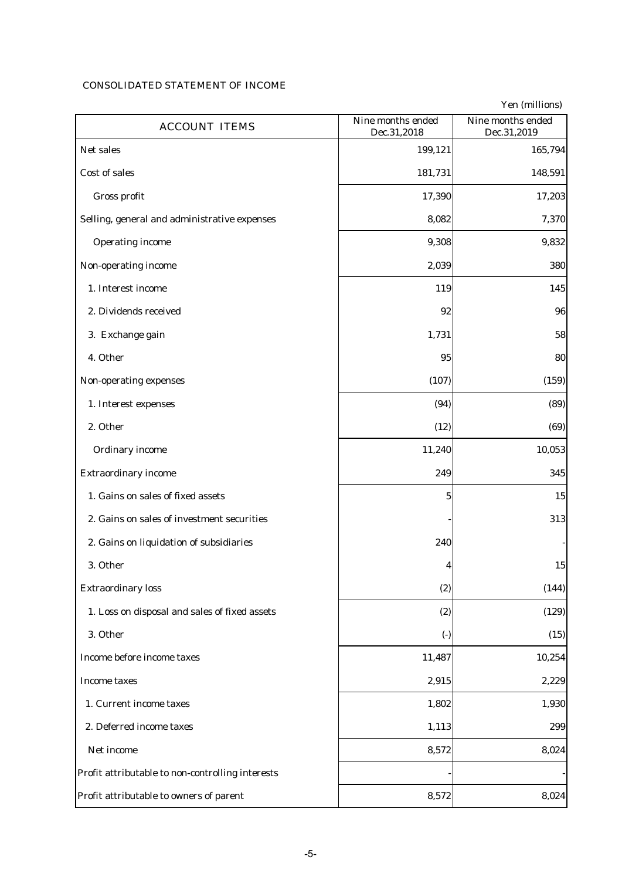# CONSOLIDATED STATEMENT OF INCOME

|                                                  |                                  | Yen (millions)                   |
|--------------------------------------------------|----------------------------------|----------------------------------|
| <b>ACCOUNT ITEMS</b>                             | Nine months ended<br>Dec.31,2018 | Nine months ended<br>Dec.31,2019 |
| Net sales                                        | 199,121                          | 165,794                          |
| <b>Cost of sales</b>                             | 181,731                          | 148,591                          |
| Gross profit                                     | 17,390                           | 17,203                           |
| Selling, general and administrative expenses     | 8,082                            | 7,370                            |
| <b>Operating income</b>                          | 9,308                            | 9,832                            |
| Non-operating income                             | 2,039                            | 380                              |
| 1. Interest income                               | 119                              | 145                              |
| 2. Dividends received                            | 92                               | 96                               |
| 3. Exchange gain                                 | 1,731                            | 58                               |
| 4. Other                                         | 95                               | 80                               |
| Non-operating expenses                           | (107)                            | (159)                            |
| 1. Interest expenses                             | (94)                             | (89)                             |
| 2. Other                                         | (12)                             | (69)                             |
| <b>Ordinary income</b>                           | 11,240                           | 10,053                           |
| <b>Extraordinary income</b>                      | 249                              | 345                              |
| 1. Gains on sales of fixed assets                | 5                                | 15                               |
| 2. Gains on sales of investment securities       |                                  | 313                              |
| 2. Gains on liquidation of subsidiaries          | 240                              |                                  |
| 3. Other                                         | 4                                | 15                               |
| <b>Extraordinary loss</b>                        | (2)                              | (144)                            |
| 1. Loss on disposal and sales of fixed assets    | (2)                              | (129)                            |
| 3. Other                                         | $\left( \cdot \right)$           | (15)                             |
| Income before income taxes                       | 11,487                           | 10,254                           |
| <b>Income taxes</b>                              | 2,915                            | 2,229                            |
| 1. Current income taxes                          | 1,802                            | 1,930                            |
| 2. Deferred income taxes                         | 1,113                            | 299                              |
| Net income                                       | 8,572                            | 8,024                            |
| Profit attributable to non-controlling interests |                                  |                                  |
| Profit attributable to owners of parent          | 8,572                            | 8,024                            |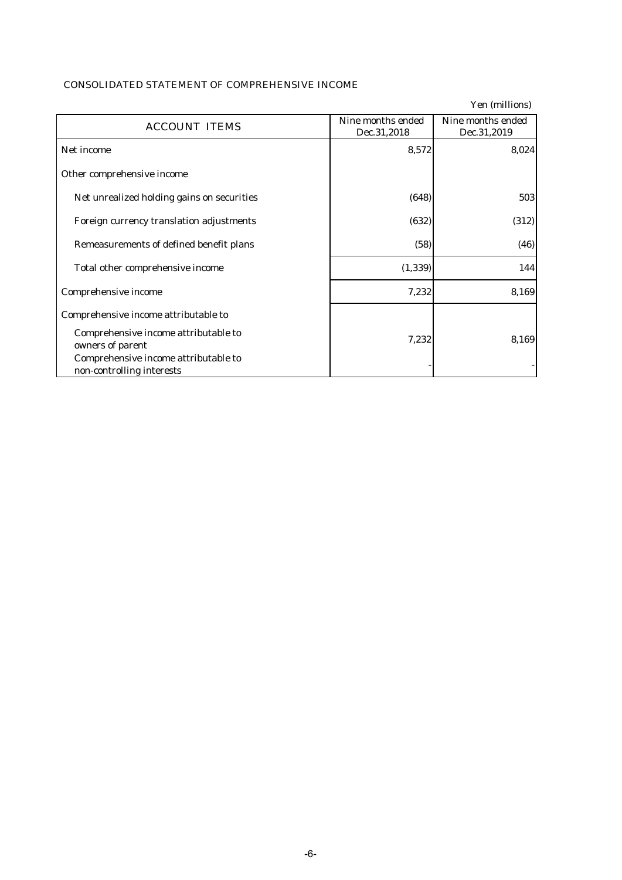|                                                                   |                                  | Yen (millions)                   |
|-------------------------------------------------------------------|----------------------------------|----------------------------------|
| <b>ACCOUNT ITEMS</b>                                              | Nine months ended<br>Dec.31,2018 | Nine months ended<br>Dec.31,2019 |
| Net income                                                        | 8,572                            | 8,024                            |
| Other comprehensive income                                        |                                  |                                  |
| Net unrealized holding gains on securities                        | (648)                            | 503                              |
| Foreign currency translation adjustments                          | (632)                            | (312)                            |
| Remeasurements of defined benefit plans                           | (58)                             | (46)                             |
| Total other comprehensive income                                  | (1, 339)                         | 144                              |
| Comprehensive income                                              | 7,232                            | 8,169                            |
| Comprehensive income attributable to                              |                                  |                                  |
| Comprehensive income attributable to<br>owners of parent          | 7,232                            | 8,169                            |
| Comprehensive income attributable to<br>non-controlling interests |                                  |                                  |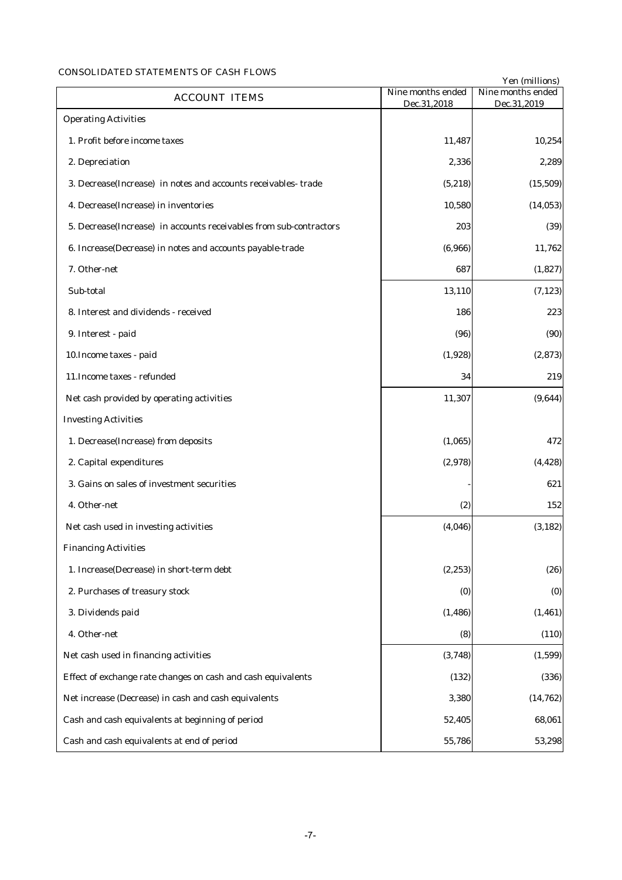## CONSOLIDATED STATEMENTS OF CASH FLOWS

|                                                                    | Nine months ended | Yen (millions)<br>Nine months ended |
|--------------------------------------------------------------------|-------------------|-------------------------------------|
| <b>ACCOUNT ITEMS</b>                                               | Dec.31,2018       | Dec.31,2019                         |
| <b>Operating Activities</b>                                        |                   |                                     |
| 1. Profit before income taxes                                      | 11,487            | 10,254                              |
| 2. Depreciation                                                    | 2,336             | 2,289                               |
| 3. Decrease(Increase) in notes and accounts receivables-trade      | (5, 218)          | (15, 509)                           |
| 4. Decrease(Increase) in inventories                               | 10,580            | (14, 053)                           |
| 5. Decrease(Increase) in accounts receivables from sub-contractors | 203               | (39)                                |
| 6. Increase(Decrease) in notes and accounts payable-trade          | (6,966)           | 11,762                              |
| 7. Other-net                                                       | 687               | (1,827)                             |
| Sub-total                                                          | 13,110            | (7, 123)                            |
| 8. Interest and dividends - received                               | 186               | 223                                 |
| 9. Interest - paid                                                 | (96)              | (90)                                |
| 10. Income taxes - paid                                            | (1,928)           | (2, 873)                            |
| 11. Income taxes - refunded                                        | 34                | 219                                 |
| Net cash provided by operating activities                          | 11,307            | (9,644)                             |
| <b>Investing Activities</b>                                        |                   |                                     |
| 1. Decrease(Increase) from deposits                                | (1,065)           | 472                                 |
| 2. Capital expenditures                                            | (2,978)           | (4, 428)                            |
| 3. Gains on sales of investment securities                         |                   | 621                                 |
| 4. Other-net                                                       | (2)               | 152                                 |
| Net cash used in investing activities                              | (4,046)           | (3, 182)                            |
| <b>Financing Activities</b>                                        |                   |                                     |
| 1. Increase(Decrease) in short-term debt                           | (2, 253)          | (26)                                |
| 2. Purchases of treasury stock                                     | (0)               | (0)                                 |
| 3. Dividends paid                                                  | (1, 486)          | (1, 461)                            |
| 4. Other-net                                                       | (8)               | (110)                               |
| Net cash used in financing activities                              | (3,748)           | (1, 599)                            |
| Effect of exchange rate changes on cash and cash equivalents       | (132)             | (336)                               |
| Net increase (Decrease) in cash and cash equivalents               | 3,380             | (14, 762)                           |
| Cash and cash equivalents at beginning of period                   | 52,405            | 68,061                              |
| Cash and cash equivalents at end of period                         | 55,786            | 53,298                              |